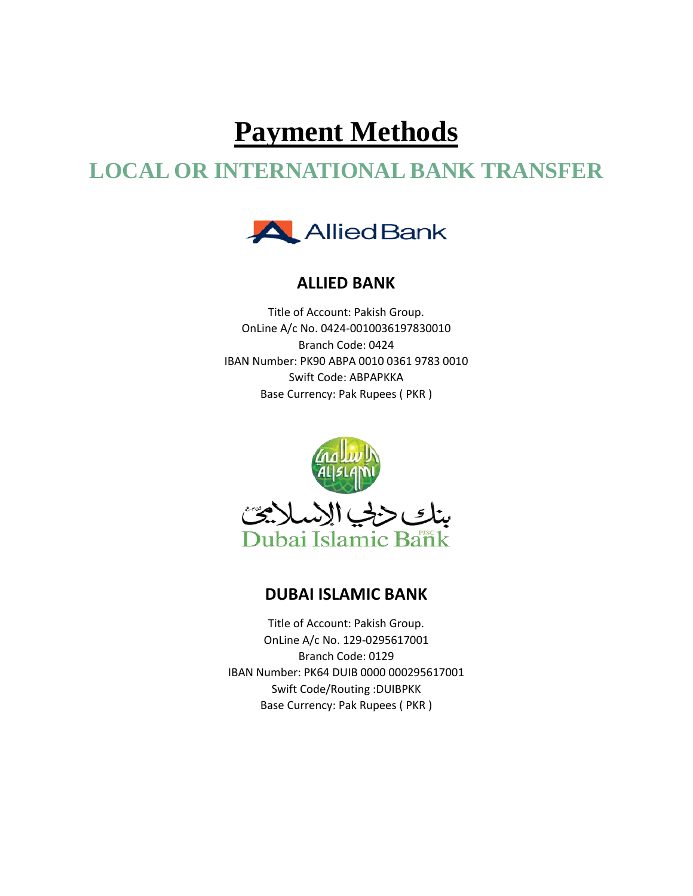# **Payment Methods**

# **LOCAL OR INTERNATIONAL BANK TRANSFER**



#### **ALLIED BANK**

Title of Account: Pakish Group. OnLine A/c No. 0424-0010036197830010 Branch Code: 0424 IBAN Number: PK90 ABPA 0010 0361 9783 0010 Swift Code: ABPAPKKA Base Currency: Pak Rupees ( PKR )



#### **DUBAI ISLAMIC BANK**

Title of Account: Pakish Group. OnLine A/c No. 129-0295617001 Branch Code: 0129 IBAN Number: PK64 DUIB 0000 000295617001 Swift Code/Routing :DUIBPKK Base Currency: Pak Rupees ( PKR )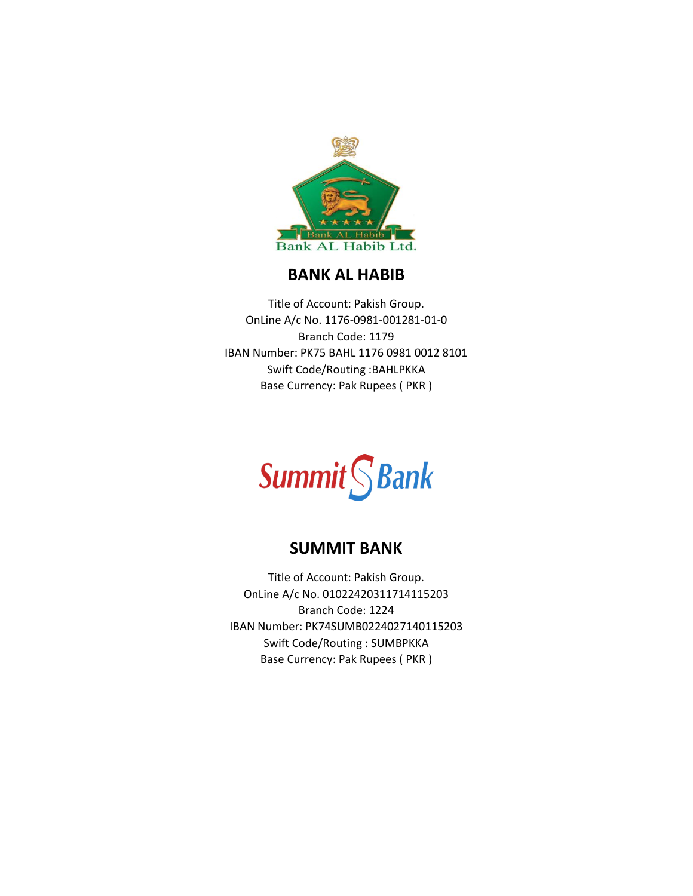

#### **BANK AL HABIB**

Title of Account: Pakish Group. OnLine A/c No. 1176-0981-001281-01-0 Branch Code: 1179 IBAN Number: PK75 BAHL 1176 0981 0012 8101 Swift Code/Routing :BAHLPKKA Base Currency: Pak Rupees ( PKR )

**Summit** S Bank

#### **SUMMIT BANK**

Title of Account: Pakish Group. OnLine A/c No. 01022420311714115203 Branch Code: 1224 IBAN Number: PK74SUMB0224027140115203 Swift Code/Routing : SUMBPKKA Base Currency: Pak Rupees ( PKR )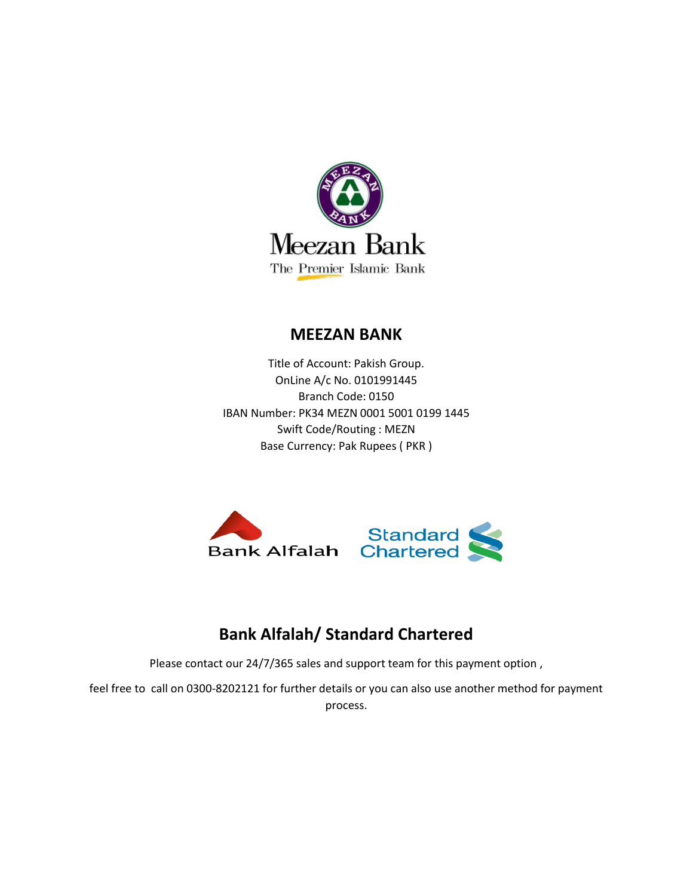

#### **MEEZAN BANK**

Title of Account: Pakish Group. OnLine A/c No. 0101991445 Branch Code: 0150 IBAN Number: PK34 MEZN 0001 5001 0199 1445 Swift Code/Routing : MEZN Base Currency: Pak Rupees ( PKR )



# **Bank Alfalah/ Standard Chartered**

Please contact our 24/7/365 sales and support team for this payment option ,

feel free to call on 0300-8202121 for further details or you can also use another method for payment process.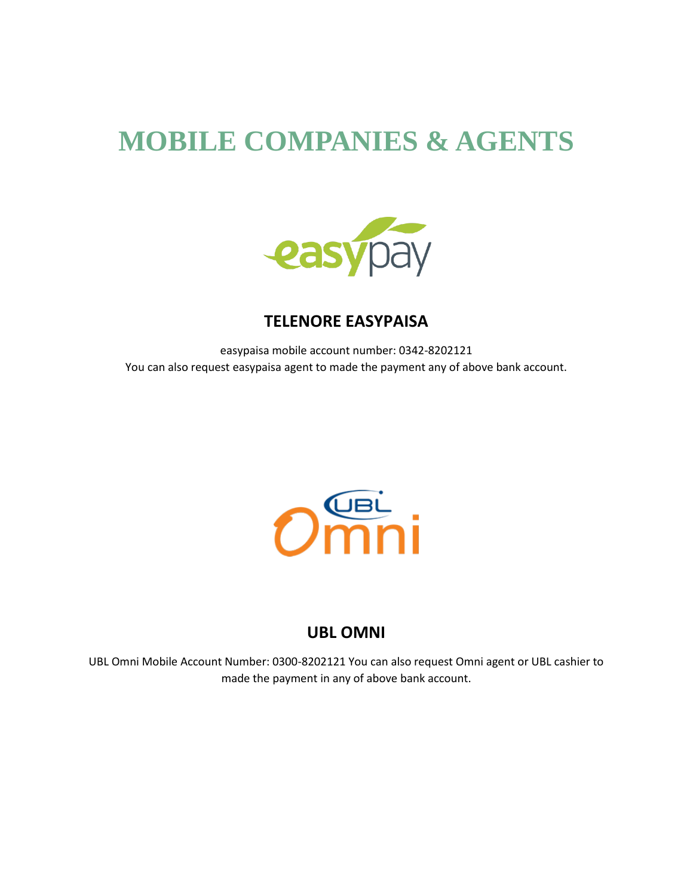# **MOBILE COMPANIES & AGENTS**



### **TELENORE EASYPAISA**

easypaisa mobile account number: 0342-8202121 You can also request easypaisa agent to made the payment any of above bank account.



#### **UBL OMNI**

UBL Omni Mobile Account Number: 0300-8202121 You can also request Omni agent or UBL cashier to made the payment in any of above bank account.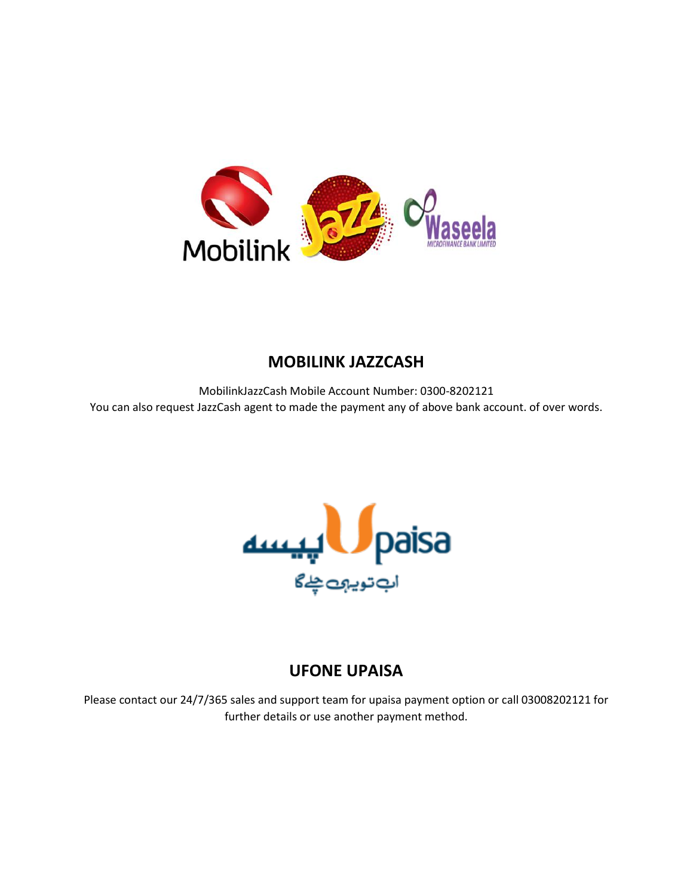

# **MOBILINK JAZZCASH**

MobilinkJazzCash Mobile Account Number: 0300-8202121 You can also request JazzCash agent to made the payment any of above bank account. of over words.



# **UFONE UPAISA**

Please contact our 24/7/365 sales and support team for upaisa payment option or call 03008202121 for further details or use another payment method.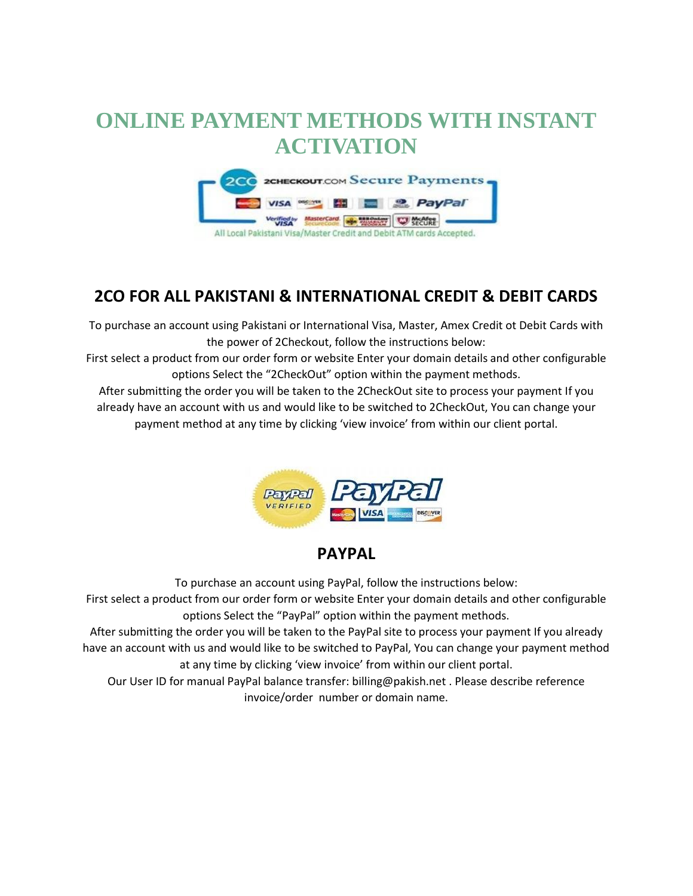# **ONLINE PAYMENT METHODS WITH INSTANT ACTIVATION**



# **2CO FOR ALL PAKISTANI & INTERNATIONAL CREDIT & DEBIT CARDS**

To purchase an account using Pakistani or International Visa, Master, Amex Credit ot Debit Cards with the power of 2Checkout, follow the instructions below:

First select a product from our order form or website Enter your domain details and other configurable options Select the "2CheckOut" option within the payment methods.

After submitting the order you will be taken to the 2CheckOut site to process your payment If you already have an account with us and would like to be switched to 2CheckOut, You can change your payment method at any time by clicking 'view invoice' from within our client portal.



#### **PAYPAL**

To purchase an account using PayPal, follow the instructions below:

First select a product from our order form or website Enter your domain details and other configurable options Select the "PayPal" option within the payment methods.

After submitting the order you will be taken to the PayPal site to process your payment If you already have an account with us and would like to be switched to PayPal, You can change your payment method at any time by clicking 'view invoice' from within our client portal.

Our User ID for manual PayPal balance transfer: billing@pakish.net . Please describe reference invoice/order number or domain name.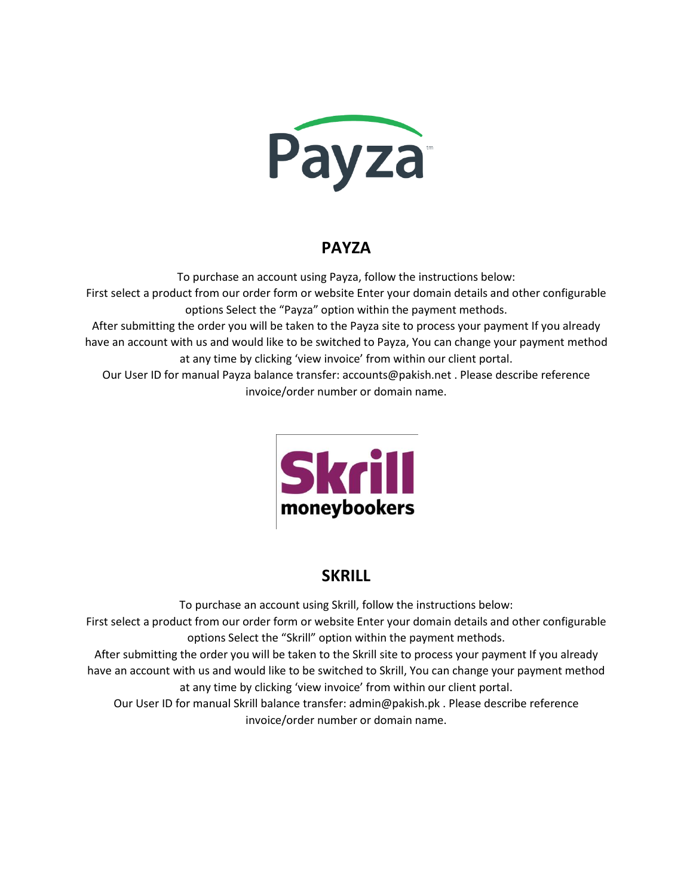

### **PAYZA**

To purchase an account using Payza, follow the instructions below:

First select a product from our order form or website Enter your domain details and other configurable options Select the "Payza" option within the payment methods.

After submitting the order you will be taken to the Payza site to process your payment If you already have an account with us and would like to be switched to Payza, You can change your payment method at any time by clicking 'view invoice' from within our client portal.

Our User ID for manual Payza balance transfer: accounts@pakish.net . Please describe reference invoice/order number or domain name.



# **SKRILL**

To purchase an account using Skrill, follow the instructions below: First select a product from our order form or website Enter your domain details and other configurable options Select the "Skrill" option within the payment methods.

After submitting the order you will be taken to the Skrill site to process your payment If you already have an account with us and would like to be switched to Skrill, You can change your payment method at any time by clicking 'view invoice' from within our client portal.

Our User ID for manual Skrill balance transfer: admin@pakish.pk . Please describe reference invoice/order number or domain name.